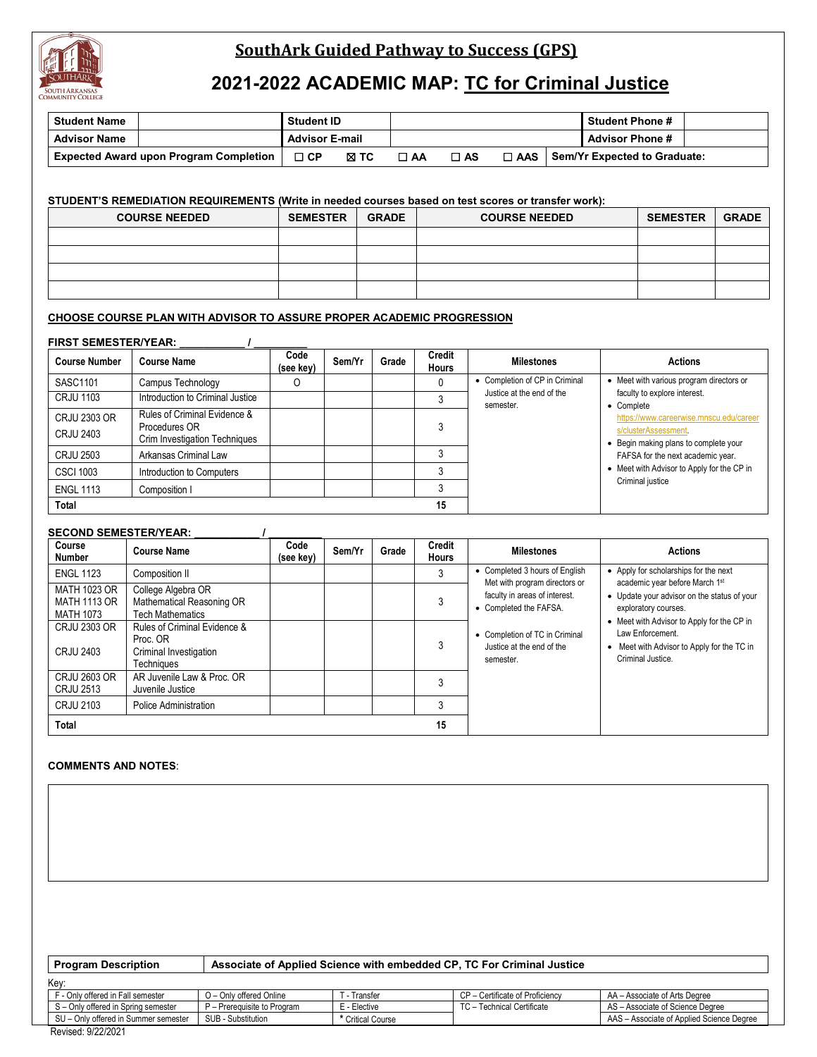

# **SouthArk Guided Pathway to Success (GPS)**

# **2021-2022 ACADEMIC MAP: TC for Criminal Justice**

| <b>Student Name</b>                           | <b>Student ID</b>     |      |      |      |                   | <b>Student Phone #</b>       |
|-----------------------------------------------|-----------------------|------|------|------|-------------------|------------------------------|
| <b>Advisor Name</b>                           | <b>Advisor E-mail</b> |      |      |      |                   | <b>Advisor Phone #</b>       |
| <b>Expected Award upon Program Completion</b> | コ CP                  | ⊠ тс | ⊟ AA | □ AS | $\Box$ AAS $\Box$ | Sem/Yr Expected to Graduate: |

### **STUDENT'S REMEDIATION REQUIREMENTS (Write in needed courses based on test scores or transfer work):**

| <b>COURSE NEEDED</b> | <b>SEMESTER</b> | <b>GRADE</b> | <b>COURSE NEEDED</b> | <b>SEMESTER</b> | <b>GRADE</b> |
|----------------------|-----------------|--------------|----------------------|-----------------|--------------|
|                      |                 |              |                      |                 |              |
|                      |                 |              |                      |                 |              |
|                      |                 |              |                      |                 |              |
|                      |                 |              |                      |                 |              |

## **CHOOSE COURSE PLAN WITH ADVISOR TO ASSURE PROPER ACADEMIC PROGRESSION**

### **FIRST SEMESTER/YEAR: \_\_\_\_\_\_\_\_\_\_\_ / \_\_\_\_\_\_\_\_\_**

| <b>Course Number</b>             | <b>Course Name</b>                                                             | Code<br>(see kev) | Sem/Yr | Grade | <b>Credit</b><br><b>Hours</b> | <b>Milestones</b>                      | <b>Actions</b>                                                                                           |
|----------------------------------|--------------------------------------------------------------------------------|-------------------|--------|-------|-------------------------------|----------------------------------------|----------------------------------------------------------------------------------------------------------|
| SASC1101                         | Campus Technology                                                              |                   |        |       |                               | • Completion of CP in Criminal         | • Meet with various program directors or                                                                 |
| <b>CRJU 1103</b>                 | Introduction to Criminal Justice                                               |                   |        |       |                               | Justice at the end of the<br>semester. | faculty to explore interest.<br>• Complete                                                               |
| CRJU 2303 OR<br><b>CRJU 2403</b> | Rules of Criminal Evidence &<br>Procedures OR<br>Crim Investigation Techniques |                   |        |       |                               |                                        | https://www.careerwise.mnscu.edu/career<br>s/clusterAssessment.<br>• Begin making plans to complete your |
| <b>CRJU 2503</b>                 | Arkansas Criminal Law                                                          |                   |        |       |                               |                                        | FAFSA for the next academic year.                                                                        |
| <b>CSCI 1003</b>                 | Introduction to Computers                                                      |                   |        |       |                               |                                        | • Meet with Advisor to Apply for the CP in                                                               |
| <b>ENGL 1113</b>                 | Composition I                                                                  |                   |        |       |                               |                                        | Criminal justice                                                                                         |
| Total                            |                                                                                |                   |        |       | 15                            |                                        |                                                                                                          |

#### **SECOND SEMESTER/YEAR: \_\_\_\_\_\_\_\_\_\_\_ / \_\_\_\_\_\_\_\_\_**

| Course<br><b>Number</b>                                 | <b>Course Name</b>                                                               | Code<br>(see key) | Sem/Yr | Grade | Credit<br>Hours | <b>Milestones</b>                                                                        | <b>Actions</b>                                                                                                    |
|---------------------------------------------------------|----------------------------------------------------------------------------------|-------------------|--------|-------|-----------------|------------------------------------------------------------------------------------------|-------------------------------------------------------------------------------------------------------------------|
| <b>ENGL 1123</b>                                        | Composition II                                                                   |                   |        |       |                 | • Completed 3 hours of English                                                           | • Apply for scholarships for the next<br>academic year before March 1st                                           |
| MATH 1023 OR<br><b>MATH 1113 OR</b><br><b>MATH 1073</b> | College Algebra OR<br>Mathematical Reasoning OR<br><b>Tech Mathematics</b>       |                   |        |       |                 | Met with program directors or<br>faculty in areas of interest.<br>• Completed the FAFSA. | • Update your advisor on the status of your<br>exploratory courses.<br>• Meet with Advisor to Apply for the CP in |
| <b>CRJU 2303 OR</b><br>CRJU 2403                        | Rules of Criminal Evidence &<br>Proc. OR<br>Criminal Investigation<br>Techniques |                   |        |       | 3               | • Completion of TC in Criminal<br>Justice at the end of the<br>semester.                 | Law Enforcement.<br>• Meet with Advisor to Apply for the TC in<br>Criminal Justice.                               |
| CRJU 2603 OR<br>CRJU 2513                               | AR Juvenile Law & Proc. OR<br>Juvenile Justice                                   |                   |        |       |                 |                                                                                          |                                                                                                                   |
| CRJU 2103                                               | Police Administration                                                            |                   |        |       |                 |                                                                                          |                                                                                                                   |
| Total                                                   |                                                                                  |                   |        |       | 15              |                                                                                          |                                                                                                                   |

# **COMMENTS AND NOTES**:

| <b>Program Description</b>           | Associate of Applied Science with embedded CP, TC For Criminal Justice |                   |                                 |                                           |  |  |  |  |
|--------------------------------------|------------------------------------------------------------------------|-------------------|---------------------------------|-------------------------------------------|--|--|--|--|
| Kev:                                 |                                                                        |                   |                                 |                                           |  |  |  |  |
| F - Only offered in Fall semester    | O - Only offered Online                                                | - Transfer        | CP - Certificate of Proficiency | AA - Associate of Arts Degree             |  |  |  |  |
| S - Only offered in Spring semester  | P - Prerequisite to Program                                            | E - Elective      | TC - Technical Certificate      | AS - Associate of Science Degree          |  |  |  |  |
| SU - Only offered in Summer semester | SUB - Substitution                                                     | * Critical Course |                                 | AAS - Associate of Applied Science Degree |  |  |  |  |

Revised: 9/22/2021